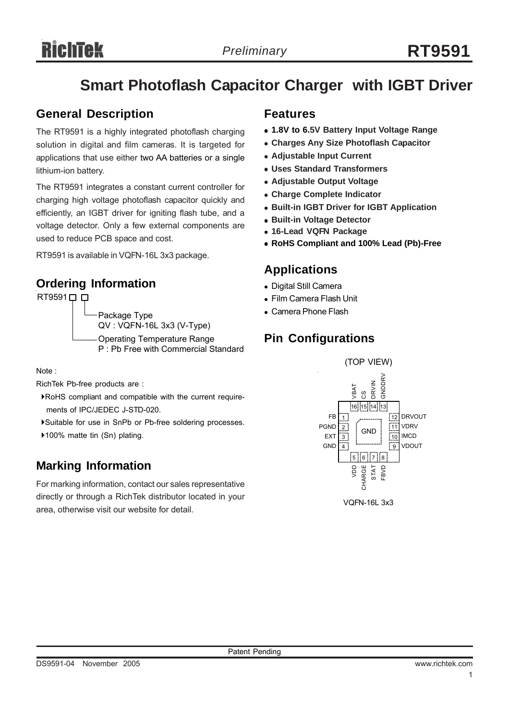## **Smart Photoflash Capacitor Charger with IGBT Driver**

## **General Description**

The RT9591 is a highly integrated photoflash charging solution in digital and film cameras. It is targeted for applications that use either two AA batteries or a single lithium-ion battery.

The RT9591 integrates a constant current controller for charging high voltage photoflash capacitor quickly and efficiently, an IGBT driver for igniting flash tube, and a voltage detector. Only a few external components are used to reduce PCB space and cost.

RT9591 is available in VQFN-16L 3x3 package.

## **Ordering Information**

RT9591<sup> $\Box$ </sup> Package Type QV : VQFN-16L 3x3 (V-Type) Operating Temperature Range P : Pb Free with Commercial Standard

Note :

RichTek Pb-free products are :

- `RoHS compliant and compatible with the current require ments of IPC/JEDEC J-STD-020.
- `Suitable for use in SnPb or Pb-free soldering processes.
- ▶100% matte tin (Sn) plating.

## **Marking Information**

For marking information, contact our sales representative directly or through a RichTek distributor located in your area, otherwise visit our website for detail.

### **Features**

- <sup>z</sup> **1.8V to 6.5V Battery Input Voltage Range**
- **Charges Any Size Photoflash Capacitor**
- **Adiustable Input Current**
- <sup>z</sup> **Uses Standard Transformers**
- **Adjustable Output Voltage**
- <sup>z</sup> **Charge Complete Indicator**
- **Built-in IGBT Driver for IGBT Application**
- **Built-in Voltage Detector**
- <sup>z</sup> **16-Lead VQFN Package**
- <sup>z</sup> **RoHS Compliant and 100% Lead (Pb)-Free**

#### **Applications**

- Digital Still Camera
- Film Camera Flash Unit
- Camera Phone Flash

## **Pin Configurations**

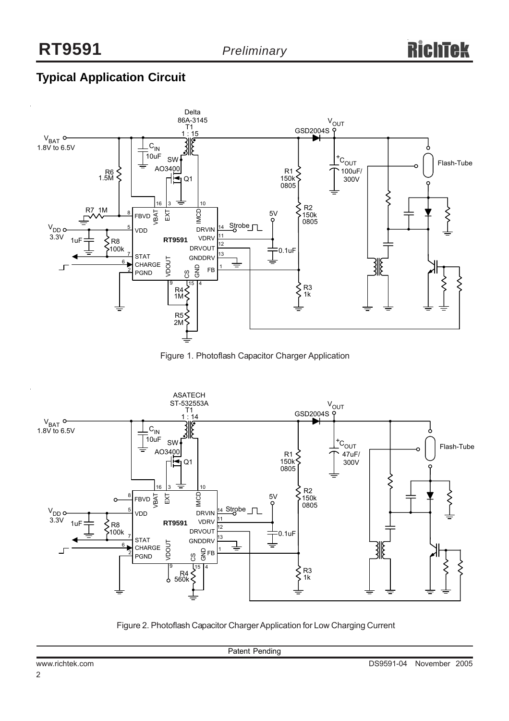## **Typical Application Circuit**



Figure 1. Photoflash Capacitor Charger Application



Figure 2. Photoflash Capacitor Charger Application for Low Charging Current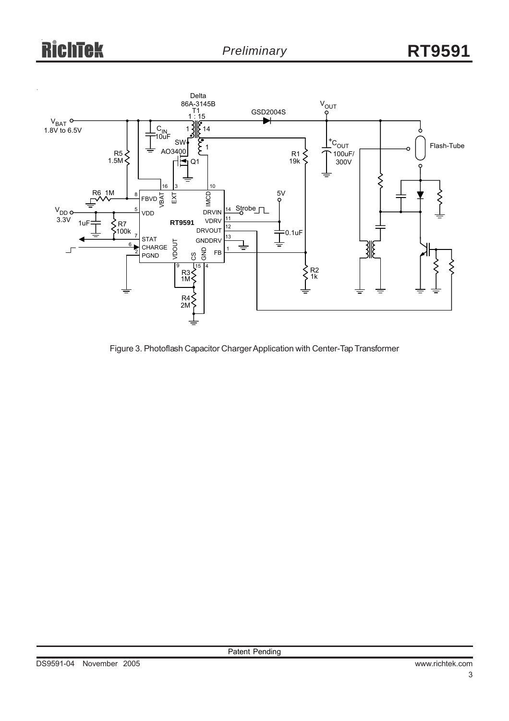

Figure 3. Photoflash Capacitor Charger Application with Center-Tap Transformer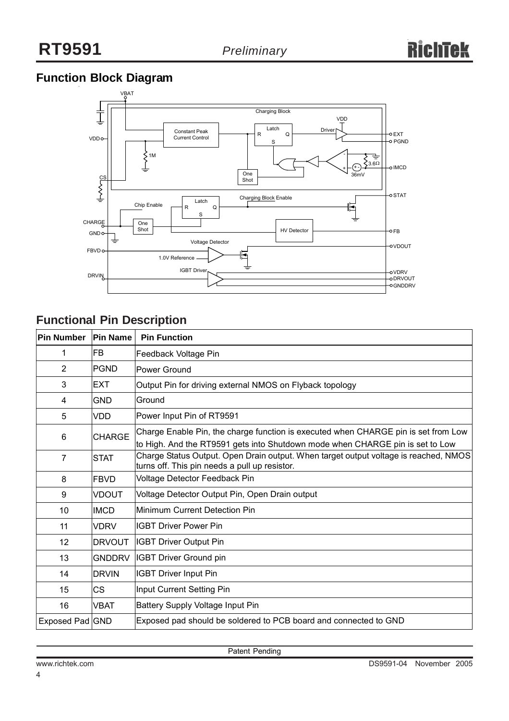## **Function Block Diagram**



## **Functional Pin Description**

| Pin Number      | <b>Pin Name</b> | <b>Pin Function</b>                                                                                                                                                 |
|-----------------|-----------------|---------------------------------------------------------------------------------------------------------------------------------------------------------------------|
| 1               | FB              | Feedback Voltage Pin                                                                                                                                                |
| 2               | <b>PGND</b>     | Power Ground                                                                                                                                                        |
| 3               | <b>EXT</b>      | Output Pin for driving external NMOS on Flyback topology                                                                                                            |
| 4               | <b>GND</b>      | Ground                                                                                                                                                              |
| 5               | <b>VDD</b>      | Power Input Pin of RT9591                                                                                                                                           |
| 6               | <b>CHARGE</b>   | Charge Enable Pin, the charge function is executed when CHARGE pin is set from Low<br>to High. And the RT9591 gets into Shutdown mode when CHARGE pin is set to Low |
| 7               | <b>STAT</b>     | Charge Status Output. Open Drain output. When target output voltage is reached, NMOS<br>turns off. This pin needs a pull up resistor.                               |
| 8               | <b>FBVD</b>     | Voltage Detector Feedback Pin                                                                                                                                       |
| 9               | <b>VDOUT</b>    | Voltage Detector Output Pin, Open Drain output                                                                                                                      |
| 10              | <b>IMCD</b>     | Minimum Current Detection Pin                                                                                                                                       |
| 11              | <b>VDRV</b>     | <b>IGBT Driver Power Pin</b>                                                                                                                                        |
| 12              | <b>DRVOUT</b>   | <b>IGBT Driver Output Pin</b>                                                                                                                                       |
| 13              | <b>GNDDRV</b>   | <b>IGBT Driver Ground pin</b>                                                                                                                                       |
| 14              | <b>DRVIN</b>    | <b>IGBT Driver Input Pin</b>                                                                                                                                        |
| 15              | CS.             | Input Current Setting Pin                                                                                                                                           |
| 16              | VBAT            | Battery Supply Voltage Input Pin                                                                                                                                    |
| Exposed Pad GND |                 | Exposed pad should be soldered to PCB board and connected to GND                                                                                                    |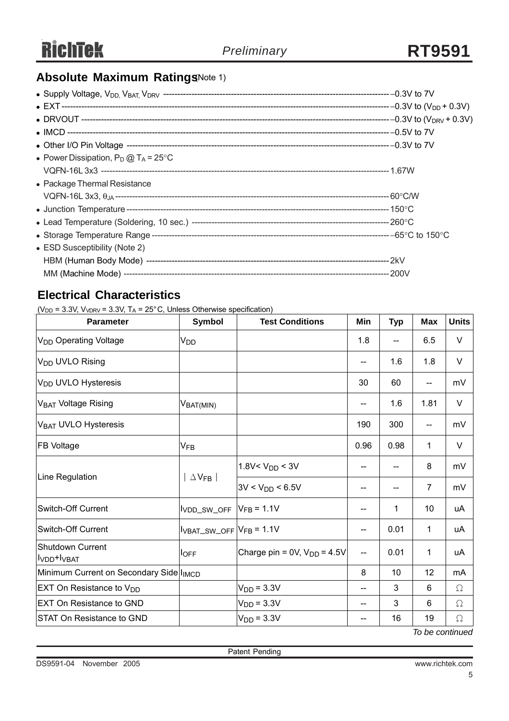## **Absolute Maximum Ratings Note 1)**

| • Power Dissipation, $P_D @ T_A = 25^{\circ}C$ |  |
|------------------------------------------------|--|
|                                                |  |
| • Package Thermal Resistance                   |  |
|                                                |  |
|                                                |  |
|                                                |  |
|                                                |  |
| • ESD Susceptibility (Note 2)                  |  |
|                                                |  |
|                                                |  |

## **Electrical Characteristics**

( $V_{DD}$  = 3.3V,  $V_{VDRV}$  = 3.3V, T<sub>A</sub> = 25°C, Unless Otherwise specification)

| <b>Parameter</b>                                        | <b>Symbol</b>               | <b>Test Conditions</b>           | Min                      | <b>Typ</b> | <b>Max</b>     | <b>Units</b> |
|---------------------------------------------------------|-----------------------------|----------------------------------|--------------------------|------------|----------------|--------------|
| V <sub>DD</sub> Operating Voltage                       | V <sub>DD</sub>             |                                  | 1.8                      | --         | 6.5            | $\vee$       |
| V <sub>DD</sub> UVLO Rising                             |                             |                                  | --                       | 1.6        | 1.8            | V            |
| V <sub>DD</sub> UVLO Hysteresis                         |                             |                                  | 30                       | 60         | --             | mV           |
| V <sub>BAT</sub> Voltage Rising                         | $\rm V_{BAT(MIN)}$          |                                  | --                       | 1.6        | 1.81           | $\vee$       |
| V <sub>BAT</sub> UVLO Hysteresis                        |                             |                                  | 190                      | 300        | --             | mV           |
| <b>FB Voltage</b>                                       | $V_{FB}$                    |                                  | 0.96                     | 0.98       | 1              | $\vee$       |
|                                                         | $\Delta$ V <sub>FB</sub>    | 1.8V< $V_{DD}$ < 3V              |                          | --         | 8              | mV           |
| Line Regulation                                         |                             | $3V < V_{DD} < 6.5V$             |                          | --         | $\overline{7}$ | mV           |
| Switch-Off Current                                      | VDD_SW_OFF                  | $V_{FB} = 1.1V$                  |                          | 1          | 10             | uA           |
| <b>Switch-Off Current</b>                               | $IVBAT_SW_OFF$ $VFB = 1.1V$ |                                  | --                       | 0.01       | 1              | uA           |
| Shutdown Current<br>I <sub>VDD</sub> +I <sub>VBAT</sub> | <b>l</b> OFF                | Charge pin = 0V, $V_{DD}$ = 4.5V | $\overline{\phantom{a}}$ | 0.01       | 1              | uA           |
| Minimum Current on Secondary Side I <sub>IMCD</sub>     |                             |                                  | 8                        | 10         | 12             | mA           |
| EXT On Resistance to V <sub>DD</sub>                    |                             | $VDD = 3.3V$                     | --                       | 3          | 6              | $\Omega$     |
| <b>EXT On Resistance to GND</b>                         |                             | $VDD = 3.3V$                     | --                       | 3          | 6              | Ω            |
| <b>STAT On Resistance to GND</b>                        |                             | $VDD = 3.3V$                     |                          | 16         | 19             | $\Omega$     |

*To be continued*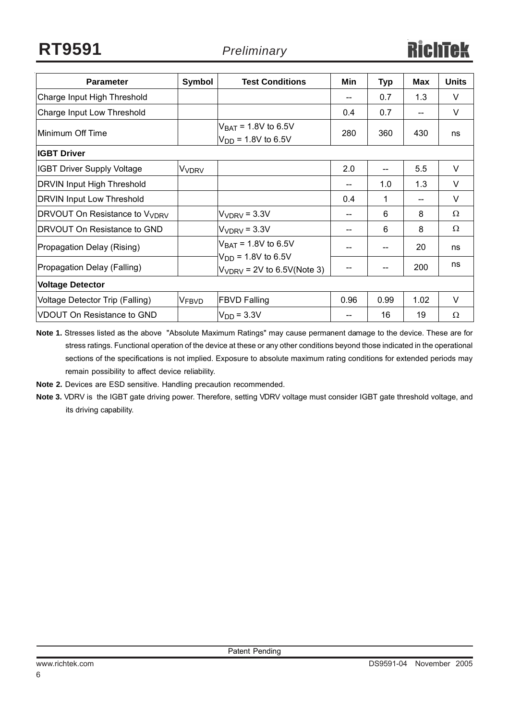| <b>Parameter</b>                          | Symbol                  | <b>Test Conditions</b>                                     | Min  | <b>Typ</b> | Max  | <b>Units</b> |  |
|-------------------------------------------|-------------------------|------------------------------------------------------------|------|------------|------|--------------|--|
| Charge Input High Threshold               |                         |                                                            | $-$  | 0.7        | 1.3  | V            |  |
| Charge Input Low Threshold                |                         |                                                            | 0.4  | 0.7        | --   | V            |  |
| Minimum Off Time                          |                         | $V_{BAT}$ = 1.8V to 6.5V<br>$V_{DD}$ = 1.8V to 6.5V        | 280  | 360        | 430  | ns           |  |
| <b>IGBT Driver</b>                        |                         |                                                            |      |            |      |              |  |
| <b>IGBT Driver Supply Voltage</b>         | <b>V<sub>VDRV</sub></b> |                                                            | 2.0  | $-$        | 5.5  | V            |  |
| <b>DRVIN Input High Threshold</b>         |                         |                                                            | $-$  | 1.0        | 1.3  | V            |  |
| <b>DRVIN Input Low Threshold</b>          |                         |                                                            | 0.4  | 1          | --   | V            |  |
| DRVOUT On Resistance to V <sub>VDRV</sub> |                         | $VVDRV = 3.3V$                                             | --   | 6          | 8    | $\Omega$     |  |
| DRVOUT On Resistance to GND               |                         | $VVDRV = 3.3V$                                             | --   | 6          | 8    | Ω            |  |
| Propagation Delay (Rising)                |                         | $V_{BAT} = 1.8V$ to 6.5V                                   | --   | $-$        | 20   | ns           |  |
| Propagation Delay (Falling)               |                         | $V_{DD}$ = 1.8V to 6.5V<br>$V_{VDRV}$ = 2V to 6.5V(Note 3) | --   | $-$        | 200  | ns           |  |
| <b>Voltage Detector</b>                   |                         |                                                            |      |            |      |              |  |
| Voltage Detector Trip (Falling)           | V <sub>FBVD</sub>       | <b>FBVD Falling</b>                                        | 0.96 | 0.99       | 1.02 | V            |  |
| <b>VDOUT On Resistance to GND</b>         |                         | $VDD = 3.3V$                                               | --   | 16         | 19   | Ω            |  |

**Note 1.** Stresses listed as the above "Absolute Maximum Ratings" may cause permanent damage to the device. These are for stress ratings. Functional operation of the device at these or any other conditions beyond those indicated in the operational sections of the specifications is not implied. Exposure to absolute maximum rating conditions for extended periods may remain possibility to affect device reliability.

**Note 2.** Devices are ESD sensitive. Handling precaution recommended.

**Note 3.** VDRV is the IGBT gate driving power. Therefore, setting VDRV voltage must consider IGBT gate threshold voltage, and its driving capability.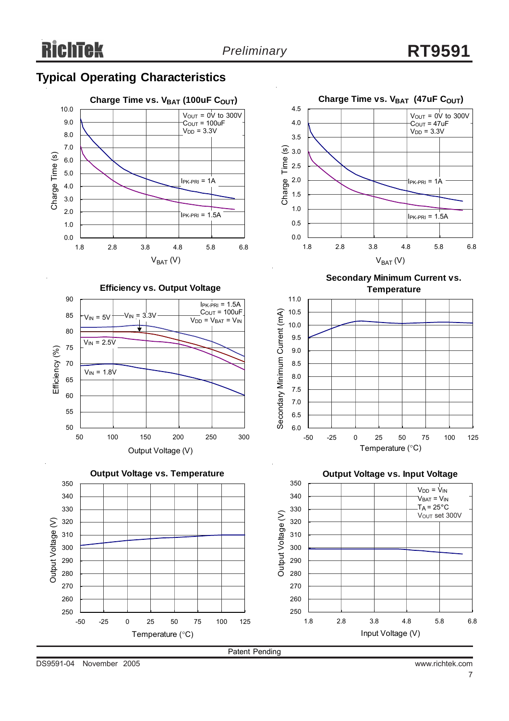0.0 0.5 1.0 1.5 2.0 2.5 3.0 3.5 4.0 4.5

6.0 6.5 7.0 7.5 8.0 8.5 9.0 9.5 10.0 10.5 11.0

Secondary Minimum Current (mA)

Secondary Minimum Current (mA)

Charge Time (s)

 $V_{\text{OUT}} = 0\dot{V}$  to 300V  $C<sub>OUT</sub> = 47uF$  $V_{DD} = 3.3V$ 

 $IPK-PRI = 1A$ 

 $I$ PK-PRI = 1.5A

Charge Time vs. V<sub>BAT</sub> (47uF C<sub>OUT</sub>)

1.8 2.8 3.8 4.8 5.8 6.8  $V_{BAT} (V)$ 

> **Secondary Minimum Current vs. Temperature**

-50 -25 0 25 50 75 100 125 Temperature (°C)





**Efficiency vs. Output Voltage**





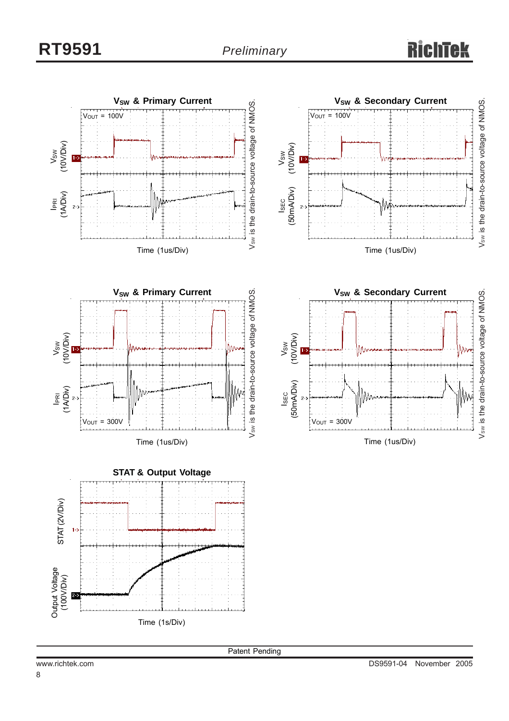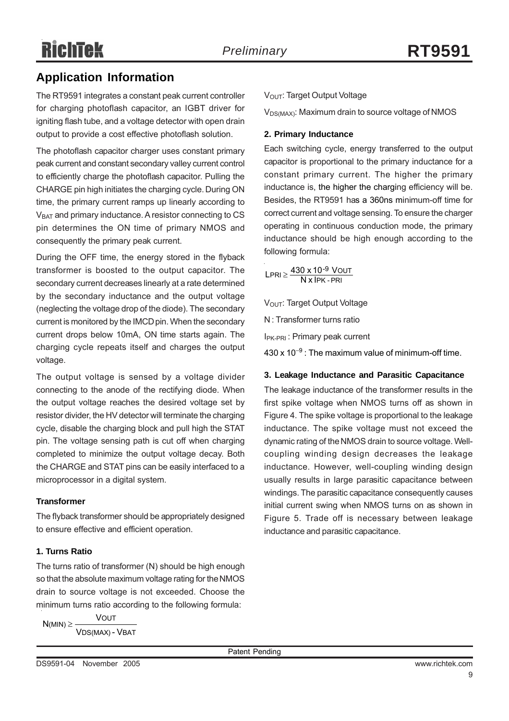## **Application Information**

The RT9591 integrates a constant peak current controller for charging photoflash capacitor, an IGBT driver for igniting flash tube, and a voltage detector with open drain output to provide a cost effective photoflash solution.

The photoflash capacitor charger uses constant primary peak current and constant secondary valley current control to efficiently charge the photoflash capacitor. Pulling the CHARGE pin high initiates the charging cycle. During ON time, the primary current ramps up linearly according to V<sub>BAT</sub> and primary inductance. A resistor connecting to CS pin determines the ON time of primary NMOS and consequently the primary peak current.

During the OFF time, the energy stored in the flyback transformer is boosted to the output capacitor. The secondary current decreases linearly at a rate determined by the secondary inductance and the output voltage (neglecting the voltage drop of the diode). The secondary current is monitored by the IMCD pin. When the secondary current drops below 10mA, ON time starts again. The charging cycle repeats itself and charges the output voltage.

The output voltage is sensed by a voltage divider connecting to the anode of the rectifying diode. When the output voltage reaches the desired voltage set by resistor divider, the HV detector will terminate the charging cycle, disable the charging block and pull high the STAT pin. The voltage sensing path is cut off when charging completed to minimize the output voltage decay. Both the CHARGE and STAT pins can be easily interfaced to a microprocessor in a digital system.

#### **Transformer**

The flyback transformer should be appropriately designed to ensure effective and efficient operation.

#### **1. Turns Ratio**

The turns ratio of transformer (N) should be high enough so that the absolute maximum voltage rating for the NMOS drain to source voltage is not exceeded. Choose the minimum turns ratio according to the following formula:

$$
N(\text{MIN}) \geq \frac{\text{Vout}}{\text{VDS}(\text{MAX}) - \text{VBAT}}
$$

V<sub>OUT</sub>: Target Output Voltage

 $V_{DS(MAX)}$ : Maximum drain to source voltage of NMOS

#### **2. Primary Inductance**

Each switching cycle, energy transferred to the output capacitor is proportional to the primary inductance for a constant primary current. The higher the primary inductance is, the higher the charging efficiency will be. Besides, the RT9591 has a 360ns minimum-off time for correct current and voltage sensing. To ensure the charger operating in continuous conduction mode, the primary inductance should be high enough according to the following formula:

PK - PRI <u>LPRI ≥ <sup>430 x 10<sup>-9</sup> VOUT</u><br>N x IPK - PRI</u></sup>

V<sub>OUT</sub>: Target Output Voltage

N : Transformer turns ratio

IPK-PRI : Primary peak current

430 x 10<sup>-9</sup> : The maximum value of minimum-off time.

#### **3. Leakage Inductance and Parasitic Capacitance**

The leakage inductance of the transformer results in the first spike voltage when NMOS turns off as shown in Figure 4. The spike voltage is proportional to the leakage inductance. The spike voltage must not exceed the dynamic rating of the NMOS drain to source voltage. Wellcoupling winding design decreases the leakage inductance. However, well-coupling winding design usually results in large parasitic capacitance between windings. The parasitic capacitance consequently causes initial current swing when NMOS turns on as shown in Figure 5. Trade off is necessary between leakage inductance and parasitic capacitance.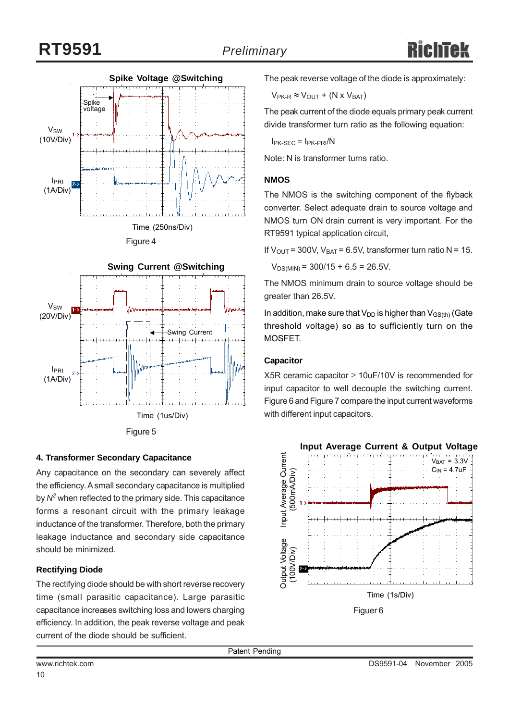



#### **4. Transformer Secondary Capacitance**

Any capacitance on the secondary can severely affect the efficiency. A small secondary capacitance is multiplied by *N2* when reflected to the primary side. This capacitance forms a resonant circuit with the primary leakage inductance of the transformer. Therefore, both the primary leakage inductance and secondary side capacitance should be minimized.

#### **Rectifying Diode**

The rectifying diode should be with short reverse recovery time (small parasitic capacitance). Large parasitic capacitance increases switching loss and lowers charging efficiency. In addition, the peak reverse voltage and peak current of the diode should be sufficient.

The peak reverse voltage of the diode is approximately:

 $V_{PK-R} \approx V_{OUT} + (N \times V_{BAT})$ 

The peak current of the diode equals primary peak current divide transformer turn ratio as the following equation:

 $I_{PK-SEC} = I_{PK-PRI}/N$ 

Note: N is transformer turns ratio.

#### **NMOS**

The NMOS is the switching component of the flyback converter. Select adequate drain to source voltage and NMOS turn ON drain current is very important. For the RT9591 typical application circuit,

If  $V_{\text{OUT}}$  = 300V,  $V_{\text{BAT}}$  = 6.5V, transformer turn ratio N = 15.

 $V_{DS(MIN)} = 300/15 + 6.5 = 26.5V$ .

The NMOS minimum drain to source voltage should be greater than 26.5V.

In addition, make sure that  $V_{DD}$  is higher than  $V_{GS(th)}$  (Gate threshold voltage) so as to sufficiently turn on the MOSFET.

#### **Capacitor**

X5R ceramic capacitor  $\geq 10$ uF/10V is recommended for input capacitor to well decouple the switching current. Figure 6 and Figure 7 compare the input current waveforms with different input capacitors.

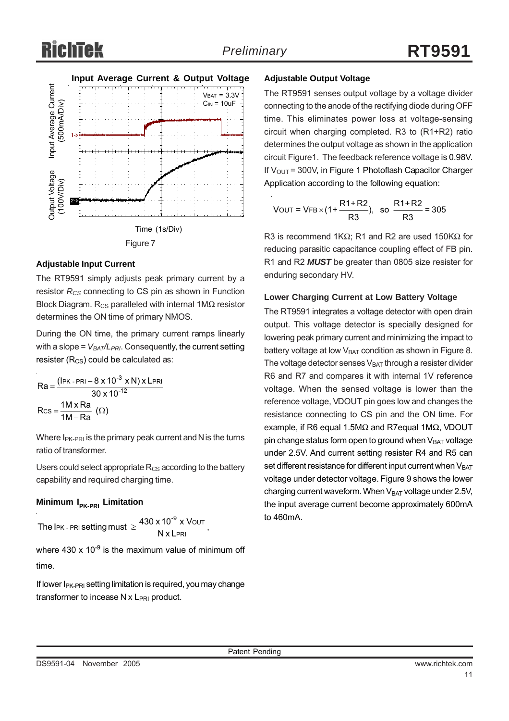# Richtek



#### **Adjustable Input Current**

The RT9591 simply adjusts peak primary current by a resistor  $R_{CS}$  connecting to CS pin as shown in Function Block Diagram. R<sub>CS</sub> paralleled with internal 1MΩ resistor determines the ON time of primary NMOS.

During the ON time, the primary current ramps linearly with a slope =  $V_{BAT}/L_{PRI}$ . Consequently, the current setting resister  $(R_{CS})$  could be calculated as:

$$
Ra = \frac{(\text{IPK - PRI} - 8 \times 10^{-3} \times N) \times \text{LPRI}}{30 \times 10^{-12}}
$$
  
Res = 
$$
\frac{1M \times Ra}{1M - Ra} \text{ (Ω)}
$$

Where  $I_{PK-PRI}$  is the primary peak current and N is the turns ratio of transformer.

Users could select appropriate  $R_{CS}$  according to the battery capability and required charging time.

#### **Minimum I<sub>PK-PRI</sub> Limitation**

The 
$$
I_{\text{PR}}
$$
 -  $\text{PRI}$  setting must  $\geq \frac{430 \times 10^{-9} \times \text{VOUT}}{\text{N} \times \text{LPRI}}$ ,

where  $430 \times 10^{-9}$  is the maximum value of minimum off time.

If lower I<sub>PK-PRI</sub> setting limitation is required, you may change

#### **Adjustable Output Voltage**

The RT9591 senses output voltage by a voltage divider connecting to the anode of the rectifying diode during OFF time. This eliminates power loss at voltage-sensing circuit when charging completed. R3 to (R1+R2) ratio determines the output voltage as shown in the application circuit Figure1. The feedback reference voltage is 0.98V. If  $V_{\text{OUT}}$  = 300V, in Figure 1 Photoflash Capacitor Charger Application according to the following equation:

$$
VOUT = VFB \times (1 + \frac{R1 + R2}{R3}), so  $\frac{R1 + R2}{R3} = 305$
$$

R3 is recommend 1KΩ; R1 and R2 are used 150KΩ for reducing parasitic capacitance coupling effect of FB pin. R1 and R2 *MUST* be greater than 0805 size resister for enduring secondary HV.

#### **Lower Charging Current at Low Battery Voltage**

The RT9591 integrates a voltage detector with open drain output. This voltage detector is specially designed for lowering peak primary current and minimizing the impact to battery voltage at low  $V_{BAT}$  condition as shown in Figure 8. The voltage detector senses  $V_{BAT}$  through a resister divider R6 and R7 and compares it with internal 1V reference voltage. When the sensed voltage is lower than the reference voltage, VDOUT pin goes low and changes the resistance connecting to CS pin and the ON time. For example, if R6 equal 1.5MΩ and R7equal 1MΩ, VDOUT pin change status form open to ground when VBAT voltage under 2.5V. And current setting resister R4 and R5 can set different resistance for different input current when  $V<sub>BAT</sub>$ voltage under detector voltage. Figure 9 shows the lower charging current waveform. When  $V_{BAT}$  voltage under 2.5V, the input average current become approximately 600mA to 460mA.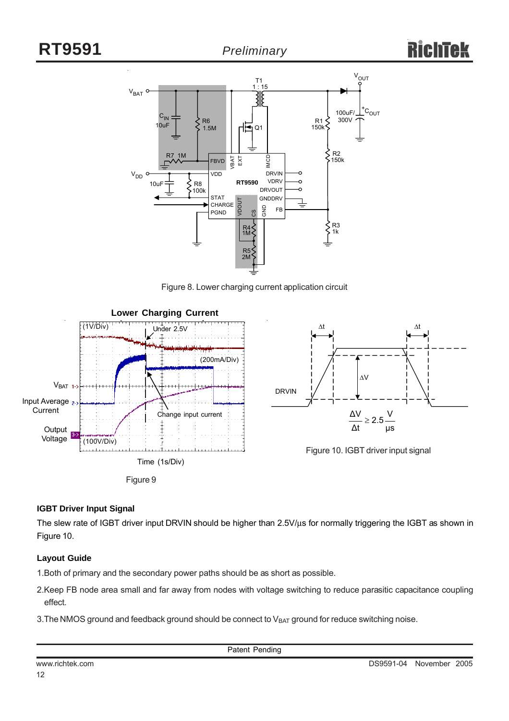

Figure 8. Lower charging current application circuit





Figure 10. IGBT driver input signal

#### **IGBT Driver Input Signal**

The slew rate of IGBT driver input DRVIN should be higher than 2.5V/μs for normally triggering the IGBT as shown in Figure 10.

#### **Layout Guide**

1.Both of primary and the secondary power paths should be as short as possible.

- 2.Keep FB node area small and far away from nodes with voltage switching to reduce parasitic capacitance coupling effect.
- 3. The NMOS ground and feedback ground should be connect to  $V_{BAT}$  ground for reduce switching noise.